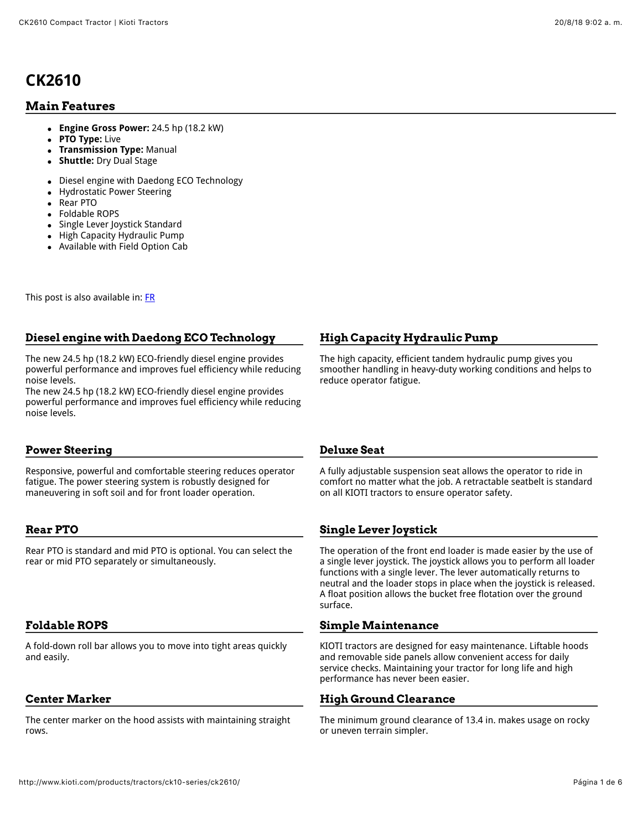# **CK2610**

# **Main Features**

- **Engine Gross Power:** 24.5 hp (18.2 kW)
- **PTO Type:** Live  $\bullet$
- **Transmission Type:** Manual
- **Shuttle:** Dry Dual Stage  $\bullet$
- Diesel engine with Daedong ECO Technology  $\bullet$
- Hydrostatic Power Steering  $\bullet$
- Rear PTO  $\bullet$
- Foldable ROPS  $\bullet$
- Single Lever Joystick Standard
- High Capacity Hydraulic Pump
- Available with Field Option Cab

This post is also available in: **FR** 

#### **Diesel engine with Daedong ECO Technology**

The new 24.5 hp (18.2 kW) ECO-friendly diesel engine provides powerful performance and improves fuel efficiency while reducing noise levels.

The new 24.5 hp (18.2 kW) ECO-friendly diesel engine provides powerful performance and improves fuel efficiency while reducing noise levels.

### **Power Steering**

Responsive, powerful and comfortable steering reduces operator fatigue. The power steering system is robustly designed for maneuvering in soft soil and for front loader operation.

# **Rear PTO**

Rear PTO is standard and mid PTO is optional. You can select the rear or mid PTO separately or simultaneously.

# **Foldable ROPS**

A fold-down roll bar allows you to move into tight areas quickly and easily.

# **Center Marker**

The center marker on the hood assists with maintaining straight rows.

### **High Capacity Hydraulic Pump**

The high capacity, efficient tandem hydraulic pump gives you smoother handling in heavy-duty working conditions and helps to reduce operator fatigue.

#### **Deluxe Seat**

A fully adjustable suspension seat allows the operator to ride in comfort no matter what the job. A retractable seatbelt is standard on all KIOTI tractors to ensure operator safety.

# **Single Lever Joystick**

The operation of the front end loader is made easier by the use of a single lever joystick. The joystick allows you to perform all loader functions with a single lever. The lever automatically returns to neutral and the loader stops in place when the joystick is released. A float position allows the bucket free flotation over the ground surface.

### **Simple Maintenance**

KIOTI tractors are designed for easy maintenance. Liftable hoods and removable side panels allow convenient access for daily service checks. Maintaining your tractor for long life and high performance has never been easier.

### **High Ground Clearance**

The minimum ground clearance of 13.4 in. makes usage on rocky or uneven terrain simpler.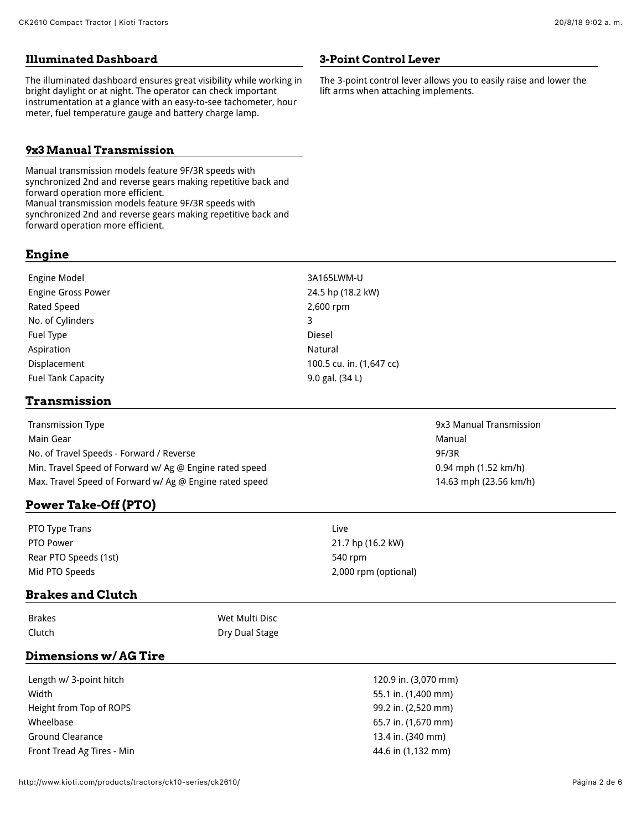#### **Illuminated Dashboard**

The illuminated dashboard ensures great visibility while working in bright daylight or at night. The operator can check important instrumentation at a glance with an easy-to-see tachometer, hour meter, fuel temperature gauge and battery charge lamp.

#### **9x3 Manual Transmission**

Manual transmission models feature 9F/3R speeds with synchronized 2nd and reverse gears making repetitive back and forward operation more efficient. Manual transmission models feature 9F/3R speeds with synchronized 2nd and reverse gears making repetitive back and forward operation more efficient.

#### **Engine**

Engine Model 3A165LWM-U Engine Gross Power 24.5 hp (18.2 kW) Rated Speed 2,600 rpm No. of Cylinders 3 Fuel Type Diesel Aspiration Natural Aspiration Natural Aspiration Natural Aspiration Natural Aspiration Natural Aspiration Natural Aspiration Natural Aspiration Natural Aspiration Natural Aspiration Natural Aspiration Natural Aspiration Na Displacement 100.5 cu. in. (1,647 cc) Fuel Tank Capacity **19.0 and 19.0 and 19.0 gal.** (34 L)

### **Transmission**

Transmission Type 9x3 Manual Transmission Main Gear Manual Accounts and the control of the control of the control of the control of the control of the control of the control of the control of the control of the control of the control of the control of the control No. of Travel Speeds - Forward / Reverse 9F/3R Min. Travel Speed of Forward w/ Ag @ Engine rated speed 0.94 mph (1.52 km/h) Max. Travel Speed of Forward w/ Ag @ Engine rated speed 14.63 mph (23.56 km/h)

# **Power Take-Off (PTO)**

PTO Type Trans Live PTO Power 21.7 hp (16.2 kW) Rear PTO Speeds (1st) 540 rpm Mid PTO Speeds 2,000 rpm (optional)

### **Brakes and Clutch**

Brakes Wet Multi Disc Clutch Dry Dual Stage

#### **Dimensions w/ AG Tire**

Length w/ 3-point hitch 120.9 in. (3,070 mm) Width 55.1 in. (1,400 mm) Height from Top of ROPS 99.2 in. (2,520 mm) Wheelbase 65.7 in. (1,670 mm) Ground Clearance 13.4 in. (340 mm) Front Tread Ag Tires - Min **44.6** in (1,132 mm)

**3-Point Control Lever**

lift arms when attaching implements.

The 3-point control lever allows you to easily raise and lower the